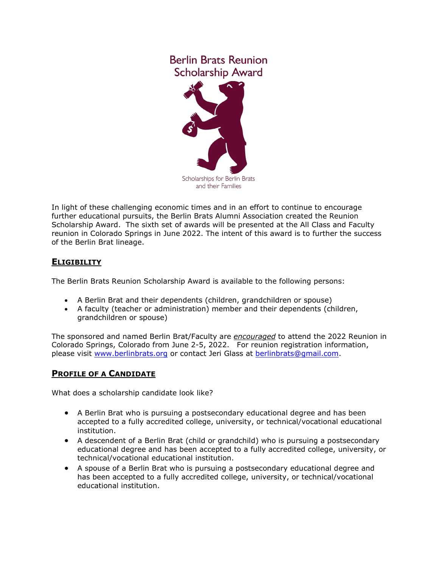## **Berlin Brats Reunion Scholarship Award**



In light of these challenging economic times and in an effort to continue to encourage further educational pursuits, the Berlin Brats Alumni Association created the Reunion Scholarship Award. The sixth set of awards will be presented at the All Class and Faculty reunion in Colorado Springs in June 2022. The intent of this award is to further the success of the Berlin Brat lineage.

## **ELIGIBILITY**

The Berlin Brats Reunion Scholarship Award is available to the following persons:

- A Berlin Brat and their dependents (children, grandchildren or spouse)
- A faculty (teacher or administration) member and their dependents (children, grandchildren or spouse)

The sponsored and named Berlin Brat/Faculty are *encouraged* to attend the 2022 Reunion in Colorado Springs, Colorado from June 2-5, 2022. For reunion registration information, please visit [www.berlinbrats.org](http://www.berlinbrats.org/) or contact Jeri Glass at [berlinbrats@gmail.com.](mailto:berlinbrats@gmail.com)

## **PROFILE OF A CANDIDATE**

What does a scholarship candidate look like?

- A Berlin Brat who is pursuing a postsecondary educational degree and has been accepted to a fully accredited college, university, or technical/vocational educational institution.
- A descendent of a Berlin Brat (child or grandchild) who is pursuing a postsecondary educational degree and has been accepted to a fully accredited college, university, or technical/vocational educational institution.
- A spouse of a Berlin Brat who is pursuing a postsecondary educational degree and has been accepted to a fully accredited college, university, or technical/vocational educational institution.